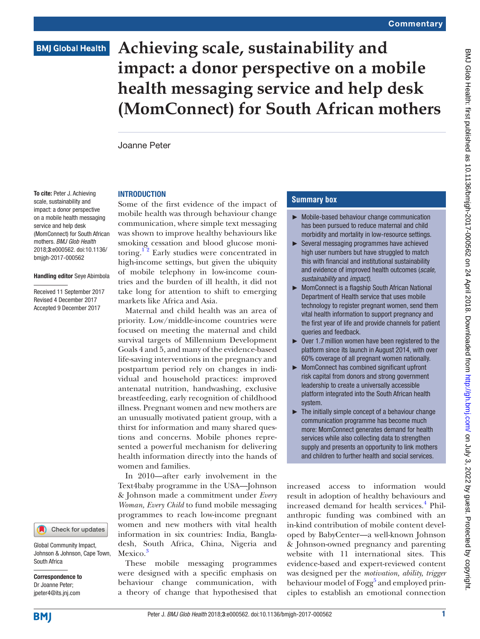# **BMJ Global Health**

**Achieving scale, sustainability and impact: a donor perspective on a mobile health messaging service and help desk (MomConnect) for South African mothers**

Joanne Peter

#### **INTRODUCTION**

To cite: Peter J. Achieving scale, sustainability and impact: a donor perspective on a mobile health messaging service and help desk (MomConnect) for South African mothers. *BMJ Glob Health* 2018;3:e000562. doi:10.1136/ bmjgh-2017-000562

#### Handling editor Seye Abimbola

Received 11 September 2017 Revised 4 December 2017 Accepted 9 December 2017

Check for updates

Global Community Impact, Johnson & Johnson, Cape Town, South Africa

Correspondence to Dr Joanne Peter; jpeter4@its.jnj.com

Some of the first evidence of the impact of mobile health was through behaviour change communication, where simple text messaging was shown to improve healthy behaviours like smoking cessation and blood glucose monitoring.<sup>12</sup> Early studies were concentrated in high-income settings, but given the ubiquity of mobile telephony in low-income countries and the burden of ill health, it did not take long for attention to shift to emerging markets like Africa and Asia.

Maternal and child health was an area of priority. Low/middle-income countries were focused on meeting the maternal and child survival targets of Millennium Development Goals 4 and 5, and many of the evidence-based life-saving interventions in the pregnancy and postpartum period rely on changes in individual and household practices: improved antenatal nutrition, handwashing, exclusive breastfeeding, early recognition of childhood illness. Pregnant women and new mothers are an unusually motivated patient group, with a thirst for information and many shared questions and concerns. Mobile phones represented a powerful mechanism for delivering health information directly into the hands of women and families.

In 2010—after early involvement in the Text4baby programme in the USA—Johnson & Johnson made a commitment under *Every Woman, Every Child* to fund mobile messaging programmes to reach low-income pregnant women and new mothers with vital health information in six countries: India, Bangladesh, South Africa, China, Nigeria and Mexico.<sup>[3](#page-2-1)</sup>

These mobile messaging programmes were designed with a specific emphasis on behaviour change communication, with a theory of change that hypothesised that

# **Summary box**

- ► Mobile-based behaviour change communication has been pursued to reduce maternal and child morbidity and mortality in low-resource settings.
- ► Several messaging programmes have achieved high user numbers but have struggled to match this with financial and institutional sustainability and evidence of improved health outcomes (*scale, sustainability* and *impact)*.
- ► MomConnect is a flagship South African National Department of Health service that uses mobile technology to register pregnant women, send them vital health information to support pregnancy and the first year of life and provide channels for patient queries and feedback.
- ► Over 1.7million women have been registered to the platform since its launch in August 2014, with over 60% coverage of all pregnant women nationally.
- ► MomConnect has combined significant upfront risk capital from donors and strong government leadership to create a universally accessible platform integrated into the South African health system.
- ► The initially simple concept of a behaviour change communication programme has become much more: MomConnect generates demand for health services while also collecting data to strengthen supply and presents an opportunity to link mothers and children to further health and social services.

increased access to information would result in adoption of healthy behaviours and increased demand for health services.<sup>4</sup> Philanthropic funding was combined with an in-kind contribution of mobile content developed by BabyCenter—a well-known Johnson & Johnson-owned pregnancy and parenting website with 11 international sites. This evidence-based and expert-reviewed content was designed per the *motivation, ability, trigger* behaviour model of Fogg<sup>[5](#page-2-3)</sup> and employed principles to establish an emotional connection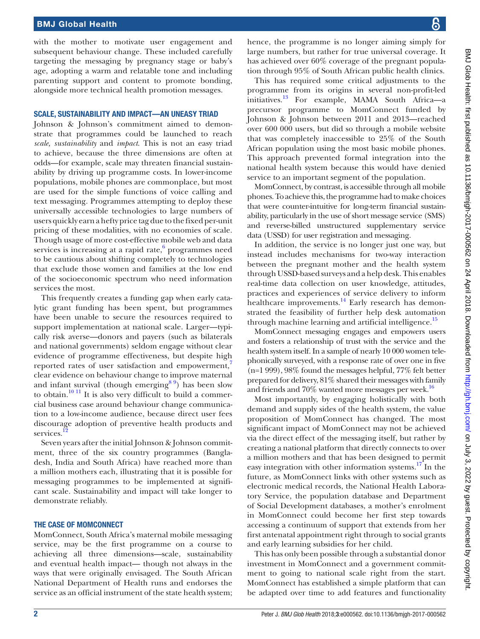# BMJ Global Health

with the mother to motivate user engagement and subsequent behaviour change. These included carefully targeting the messaging by pregnancy stage or baby's age, adopting a warm and relatable tone and including parenting support and content to promote bonding, alongside more technical health promotion messages.

### Scale, sustainability and impact—an uneasy triad

Johnson & Johnson's commitment aimed to demonstrate that programmes could be launched to reach *scale, sustainability* and *impact*. This is not an easy triad to achieve, because the three dimensions are often at odds—for example, scale may threaten financial sustainability by driving up programme costs. In lower-income populations, mobile phones are commonplace, but most are used for the simple functions of voice calling and text messaging. Programmes attempting to deploy these universally accessible technologies to large numbers of users quickly earn a hefty price tag due to the fixed per-unit pricing of these modalities, with no economies of scale. Though usage of more cost-effective mobile web and data services is increasing at a rapid rate, $6$  programmes need to be cautious about shifting completely to technologies that exclude those women and families at the low end of the socioeconomic spectrum who need information services the most.

This frequently creates a funding gap when early catalytic grant funding has been spent, but programmes have been unable to secure the resources required to support implementation at national scale. Larger—typically risk averse—donors and payers (such as bilaterals and national governments) seldom engage without clear evidence of programme effectiveness, but despite high reported rates of user satisfaction and empowerment, $\frac{7}{1}$  $\frac{7}{1}$  $\frac{7}{1}$ clear evidence on behaviour change to improve maternal and infant survival (though emerging  $89)$ ) has been slow to obtain.<sup>10 11</sup> It is also very difficult to build a commercial business case around behaviour change communication to a low-income audience, because direct user fees discourage adoption of preventive health products and services.<sup>1</sup>

Seven years after the initial Johnson & Johnson commitment, three of the six country programmes (Bangladesh, India and South Africa) have reached more than a million mothers each, illustrating that it is possible for messaging programmes to be implemented at significant scale. Sustainability and impact will take longer to demonstrate reliably.

# The case of MomConnect

MomConnect, South Africa's maternal mobile messaging service, may be the first programme on a course to achieving all three dimensions—scale, sustainability and eventual health impact— though not always in the ways that were originally envisaged. The South African National Department of Health runs and endorses the service as an official instrument of the state health system;

hence, the programme is no longer aiming simply for large numbers, but rather for true universal coverage. It has achieved over 60% coverage of the pregnant population through 95% of South African public health clinics.

This has required some critical adjustments to the programme from its origins in several non-profit-led initiatives.<sup>13</sup> For example, MAMA South Africa—a precursor programme to MomConnect funded by Johnson & Johnson between 2011 and 2013—reached over 600 000 users, but did so through a mobile website that was completely inaccessible to 25% of the South African population using the most basic mobile phones. This approach prevented formal integration into the national health system because this would have denied service to an important segment of the population.

MomConnect, by contrast, is accessible through all mobile phones. To achieve this, the programme had to make choices that were counter-intuitive for long-term financial sustainability, particularly in the use of short message service (SMS) and reverse-billed unstructured supplementary service data (USSD) for user registration and messaging.

In addition, the service is no longer just one way, but instead includes mechanisms for two-way interaction between the pregnant mother and the health system through USSD-based surveys and a help desk. This enables real-time data collection on user knowledge, attitudes, practices and experiences of service delivery to inform healthcare improvements.<sup>14</sup> Early research has demonstrated the feasibility of further help desk automation through machine learning and artificial intelligence.<sup>15</sup>

MomConnect messaging engages and empowers users and fosters a relationship of trust with the service and the health system itself. In a sample of nearly 10 000 women telephonically surveyed, with a response rate of over one in five (n=1 999), 98% found the messages helpful, 77% felt better prepared for delivery, 81% shared their messages with family and friends and  $70\%$  wanted more messages per week.<sup>16</sup>

Most importantly, by engaging holistically with both demand and supply sides of the health system, the value proposition of MomConnect has changed. The most significant impact of MomConnect may not be achieved via the direct effect of the messaging itself, but rather by creating a national platform that directly connects to over a million mothers and that has been designed to permit easy integration with other information systems.<sup>17</sup> In the future, as MomConnect links with other systems such as electronic medical records, the National Health Laboratory Service, the population database and Department of Social Development databases, a mother's enrolment in MomConnect could become her first step towards accessing a continuum of support that extends from her first antenatal appointment right through to social grants and early learning subsidies for her child.

This has only been possible through a substantial donor investment in MomConnect and a government commitment to going to national scale right from the start. MomConnect has established a simple platform that can be adapted over time to add features and functionality